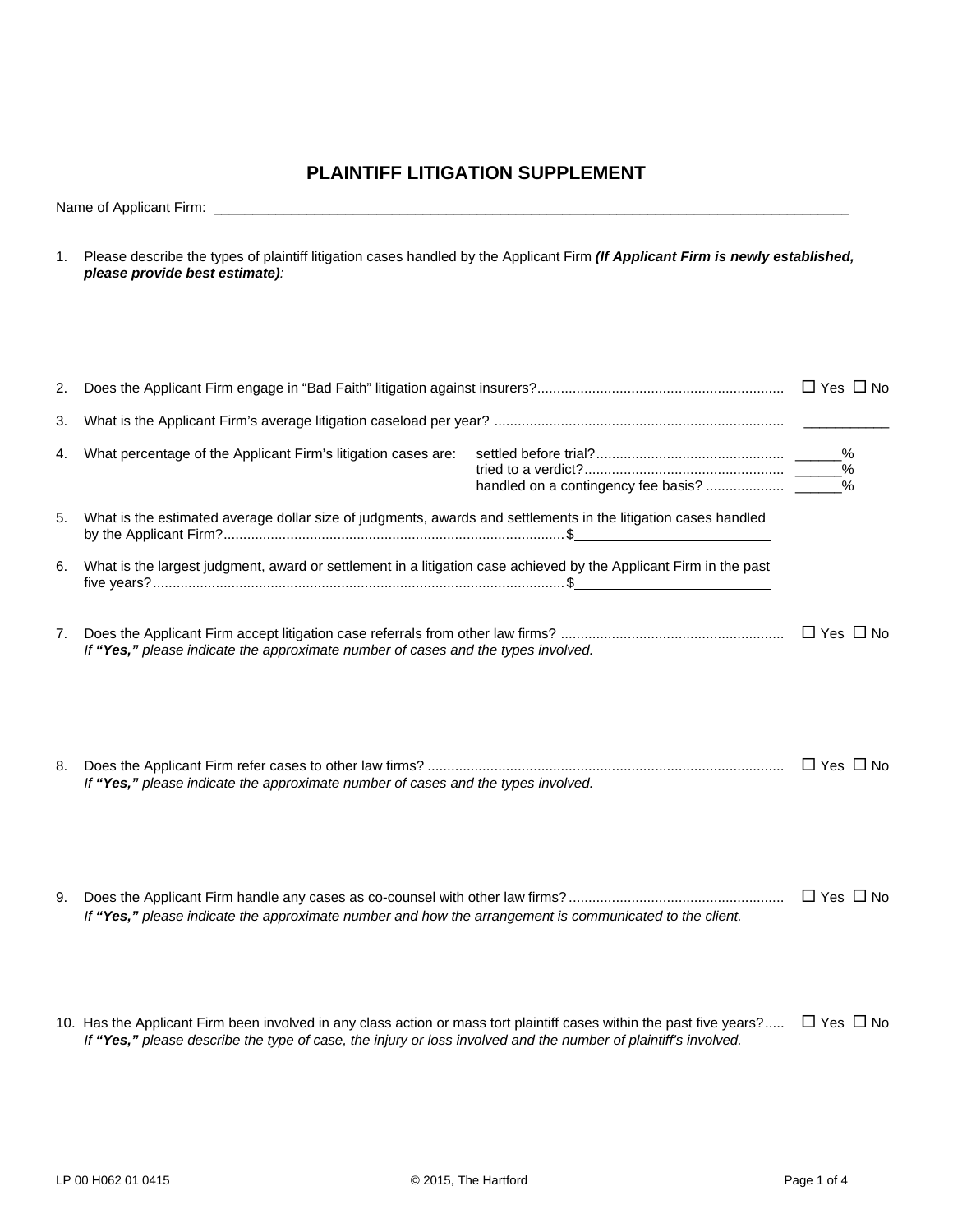## **PLAINTIFF LITIGATION SUPPLEMENT**

Name of Applicant Firm: \_\_\_\_\_\_\_\_\_\_\_\_\_\_\_\_\_\_\_\_\_\_\_\_\_\_\_\_\_\_\_\_\_\_\_\_\_\_\_\_\_\_\_\_\_\_\_\_\_\_\_\_\_\_\_\_\_\_\_\_\_\_\_\_\_\_\_\_\_\_\_\_\_\_\_\_\_\_\_\_\_\_

1. Please describe the types of plaintiff litigation cases handled by the Applicant Firm *(If Applicant Firm is newly established, please provide best estimate):*

| 2. |                                                                                                                                                                                                                                          |  |                      |  |
|----|------------------------------------------------------------------------------------------------------------------------------------------------------------------------------------------------------------------------------------------|--|----------------------|--|
| 3. |                                                                                                                                                                                                                                          |  |                      |  |
| 4. | What percentage of the Applicant Firm's litigation cases are:                                                                                                                                                                            |  | $\%$                 |  |
| 5. | What is the estimated average dollar size of judgments, awards and settlements in the litigation cases handled                                                                                                                           |  |                      |  |
| 6. | What is the largest judgment, award or settlement in a litigation case achieved by the Applicant Firm in the past                                                                                                                        |  |                      |  |
| 7. | If "Yes," please indicate the approximate number of cases and the types involved.                                                                                                                                                        |  |                      |  |
| 8. | If "Yes," please indicate the approximate number of cases and the types involved.                                                                                                                                                        |  |                      |  |
| 9. | If "Yes," please indicate the approximate number and how the arrangement is communicated to the client.                                                                                                                                  |  |                      |  |
|    | 10. Has the Applicant Firm been involved in any class action or mass tort plaintiff cases within the past five years?<br>If "Yes," please describe the type of case, the injury or loss involved and the number of plaintiff's involved. |  | $\Box$ Yes $\Box$ No |  |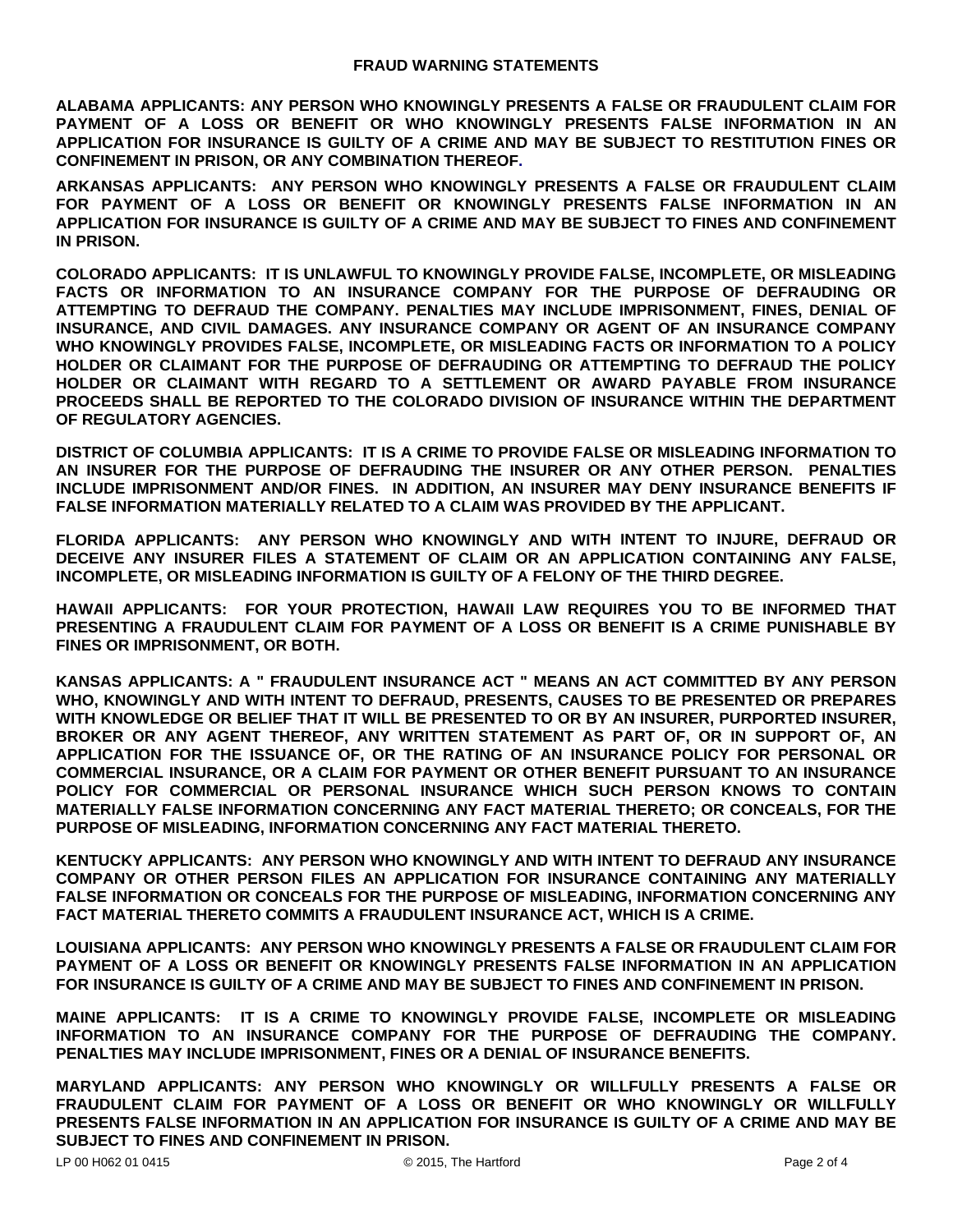**ALABAMA APPLICANTS: ANY PERSON WHO KNOWINGLY PRESENTS A FALSE OR FRAUDULENT CLAIM FOR PAYMENT OF A LOSS OR BENEFIT OR WHO KNOWINGLY PRESENTS FALSE INFORMATION IN AN APPLICATION FOR INSURANCE IS GUILTY OF A CRIME AND MAY BE SUBJECT TO RESTITUTION FINES OR CONFINEMENT IN PRISON, OR ANY COMBINATION THEREOF.**

**ARKANSAS APPLICANTS: ANY PERSON WHO KNOWINGLY PRESENTS A FALSE OR FRAUDULENT CLAIM FOR PAYMENT OF A LOSS OR BENEFIT OR KNOWINGLY PRESENTS FALSE INFORMATION IN AN APPLICATION FOR INSURANCE IS GUILTY OF A CRIME AND MAY BE SUBJECT TO FINES AND CONFINEMENT IN PRISON.** 

**COLORADO APPLICANTS: IT IS UNLAWFUL TO KNOWINGLY PROVIDE FALSE, INCOMPLETE, OR MISLEADING FACTS OR INFORMATION TO AN INSURANCE COMPANY FOR THE PURPOSE OF DEFRAUDING OR ATTEMPTING TO DEFRAUD THE COMPANY. PENALTIES MAY INCLUDE IMPRISONMENT, FINES, DENIAL OF INSURANCE, AND CIVIL DAMAGES. ANY INSURANCE COMPANY OR AGENT OF AN INSURANCE COMPANY WHO KNOWINGLY PROVIDES FALSE, INCOMPLETE, OR MISLEADING FACTS OR INFORMATION TO A POLICY HOLDER OR CLAIMANT FOR THE PURPOSE OF DEFRAUDING OR ATTEMPTING TO DEFRAUD THE POLICY HOLDER OR CLAIMANT WITH REGARD TO A SETTLEMENT OR AWARD PAYABLE FROM INSURANCE PROCEEDS SHALL BE REPORTED TO THE COLORADO DIVISION OF INSURANCE WITHIN THE DEPARTMENT OF REGULATORY AGENCIES.** 

**DISTRICT OF COLUMBIA APPLICANTS: IT IS A CRIME TO PROVIDE FALSE OR MISLEADING INFORMATION TO AN INSURER FOR THE PURPOSE OF DEFRAUDING THE INSURER OR ANY OTHER PERSON. PENALTIES INCLUDE IMPRISONMENT AND/OR FINES. IN ADDITION, AN INSURER MAY DENY INSURANCE BENEFITS IF FALSE INFORMATION MATERIALLY RELATED TO A CLAIM WAS PROVIDED BY THE APPLICANT.** 

**FLORIDA APPLICANTS: ANY PERSON WHO KNOWINGLY AND WITH INTENT TO INJURE, DEFRAUD OR DECEIVE ANY INSURER FILES A STATEMENT OF CLAIM OR AN APPLICATION CONTAINING ANY FALSE, INCOMPLETE, OR MISLEADING INFORMATION IS GUILTY OF A FELONY OF THE THIRD DEGREE.** 

**HAWAII APPLICANTS: FOR YOUR PROTECTION, HAWAII LAW REQUIRES YOU TO BE INFORMED THAT PRESENTING A FRAUDULENT CLAIM FOR PAYMENT OF A LOSS OR BENEFIT IS A CRIME PUNISHABLE BY FINES OR IMPRISONMENT, OR BOTH.** 

**KANSAS APPLICANTS: A " FRAUDULENT INSURANCE ACT " MEANS AN ACT COMMITTED BY ANY PERSON WHO, KNOWINGLY AND WITH INTENT TO DEFRAUD, PRESENTS, CAUSES TO BE PRESENTED OR PREPARES WITH KNOWLEDGE OR BELIEF THAT IT WILL BE PRESENTED TO OR BY AN INSURER, PURPORTED INSURER, BROKER OR ANY AGENT THEREOF, ANY WRITTEN STATEMENT AS PART OF, OR IN SUPPORT OF, AN APPLICATION FOR THE ISSUANCE OF, OR THE RATING OF AN INSURANCE POLICY FOR PERSONAL OR COMMERCIAL INSURANCE, OR A CLAIM FOR PAYMENT OR OTHER BENEFIT PURSUANT TO AN INSURANCE POLICY FOR COMMERCIAL OR PERSONAL INSURANCE WHICH SUCH PERSON KNOWS TO CONTAIN MATERIALLY FALSE INFORMATION CONCERNING ANY FACT MATERIAL THERETO; OR CONCEALS, FOR THE PURPOSE OF MISLEADING, INFORMATION CONCERNING ANY FACT MATERIAL THERETO.** 

**KENTUCKY APPLICANTS: ANY PERSON WHO KNOWINGLY AND WITH INTENT TO DEFRAUD ANY INSURANCE COMPANY OR OTHER PERSON FILES AN APPLICATION FOR INSURANCE CONTAINING ANY MATERIALLY FALSE INFORMATION OR CONCEALS FOR THE PURPOSE OF MISLEADING, INFORMATION CONCERNING ANY FACT MATERIAL THERETO COMMITS A FRAUDULENT INSURANCE ACT, WHICH IS A CRIME.** 

**LOUISIANA APPLICANTS: ANY PERSON WHO KNOWINGLY PRESENTS A FALSE OR FRAUDULENT CLAIM FOR PAYMENT OF A LOSS OR BENEFIT OR KNOWINGLY PRESENTS FALSE INFORMATION IN AN APPLICATION FOR INSURANCE IS GUILTY OF A CRIME AND MAY BE SUBJECT TO FINES AND CONFINEMENT IN PRISON.** 

**MAINE APPLICANTS: IT IS A CRIME TO KNOWINGLY PROVIDE FALSE, INCOMPLETE OR MISLEADING INFORMATION TO AN INSURANCE COMPANY FOR THE PURPOSE OF DEFRAUDING THE COMPANY. PENALTIES MAY INCLUDE IMPRISONMENT, FINES OR A DENIAL OF INSURANCE BENEFITS.** 

**MARYLAND APPLICANTS: ANY PERSON WHO KNOWINGLY OR WILLFULLY PRESENTS A FALSE OR FRAUDULENT CLAIM FOR PAYMENT OF A LOSS OR BENEFIT OR WHO KNOWINGLY OR WILLFULLY PRESENTS FALSE INFORMATION IN AN APPLICATION FOR INSURANCE IS GUILTY OF A CRIME AND MAY BE SUBJECT TO FINES AND CONFINEMENT IN PRISON.**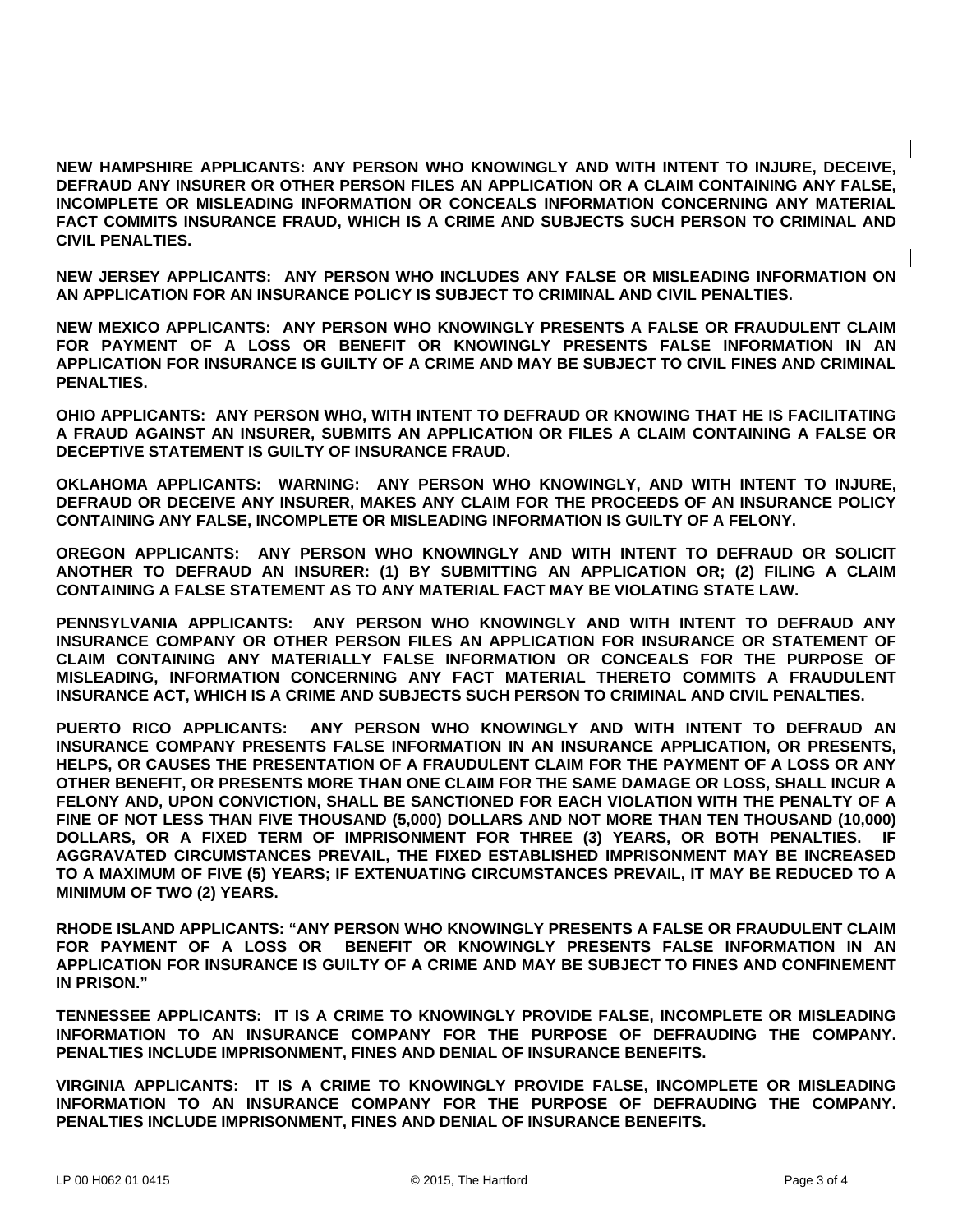**NEW HAMPSHIRE APPLICANTS: ANY PERSON WHO KNOWINGLY AND WITH INTENT TO INJURE, DECEIVE, DEFRAUD ANY INSURER OR OTHER PERSON FILES AN APPLICATION OR A CLAIM CONTAINING ANY FALSE, INCOMPLETE OR MISLEADING INFORMATION OR CONCEALS INFORMATION CONCERNING ANY MATERIAL FACT COMMITS INSURANCE FRAUD, WHICH IS A CRIME AND SUBJECTS SUCH PERSON TO CRIMINAL AND CIVIL PENALTIES.** 

**NEW JERSEY APPLICANTS: ANY PERSON WHO INCLUDES ANY FALSE OR MISLEADING INFORMATION ON AN APPLICATION FOR AN INSURANCE POLICY IS SUBJECT TO CRIMINAL AND CIVIL PENALTIES.** 

**NEW MEXICO APPLICANTS: ANY PERSON WHO KNOWINGLY PRESENTS A FALSE OR FRAUDULENT CLAIM FOR PAYMENT OF A LOSS OR BENEFIT OR KNOWINGLY PRESENTS FALSE INFORMATION IN AN APPLICATION FOR INSURANCE IS GUILTY OF A CRIME AND MAY BE SUBJECT TO CIVIL FINES AND CRIMINAL PENALTIES.** 

**OHIO APPLICANTS: ANY PERSON WHO, WITH INTENT TO DEFRAUD OR KNOWING THAT HE IS FACILITATING A FRAUD AGAINST AN INSURER, SUBMITS AN APPLICATION OR FILES A CLAIM CONTAINING A FALSE OR DECEPTIVE STATEMENT IS GUILTY OF INSURANCE FRAUD.** 

**OKLAHOMA APPLICANTS: WARNING: ANY PERSON WHO KNOWINGLY, AND WITH INTENT TO INJURE, DEFRAUD OR DECEIVE ANY INSURER, MAKES ANY CLAIM FOR THE PROCEEDS OF AN INSURANCE POLICY CONTAINING ANY FALSE, INCOMPLETE OR MISLEADING INFORMATION IS GUILTY OF A FELONY.** 

**OREGON APPLICANTS: ANY PERSON WHO KNOWINGLY AND WITH INTENT TO DEFRAUD OR SOLICIT ANOTHER TO DEFRAUD AN INSURER: (1) BY SUBMITTING AN APPLICATION OR; (2) FILING A CLAIM CONTAINING A FALSE STATEMENT AS TO ANY MATERIAL FACT MAY BE VIOLATING STATE LAW.** 

**PENNSYLVANIA APPLICANTS: ANY PERSON WHO KNOWINGLY AND WITH INTENT TO DEFRAUD ANY INSURANCE COMPANY OR OTHER PERSON FILES AN APPLICATION FOR INSURANCE OR STATEMENT OF CLAIM CONTAINING ANY MATERIALLY FALSE INFORMATION OR CONCEALS FOR THE PURPOSE OF MISLEADING, INFORMATION CONCERNING ANY FACT MATERIAL THERETO COMMITS A FRAUDULENT INSURANCE ACT, WHICH IS A CRIME AND SUBJECTS SUCH PERSON TO CRIMINAL AND CIVIL PENALTIES.** 

**PUERTO RICO APPLICANTS: ANY PERSON WHO KNOWINGLY AND WITH INTENT TO DEFRAUD AN INSURANCE COMPANY PRESENTS FALSE INFORMATION IN AN INSURANCE APPLICATION, OR PRESENTS, HELPS, OR CAUSES THE PRESENTATION OF A FRAUDULENT CLAIM FOR THE PAYMENT OF A LOSS OR ANY OTHER BENEFIT, OR PRESENTS MORE THAN ONE CLAIM FOR THE SAME DAMAGE OR LOSS, SHALL INCUR A FELONY AND, UPON CONVICTION, SHALL BE SANCTIONED FOR EACH VIOLATION WITH THE PENALTY OF A FINE OF NOT LESS THAN FIVE THOUSAND (5,000) DOLLARS AND NOT MORE THAN TEN THOUSAND (10,000) DOLLARS, OR A FIXED TERM OF IMPRISONMENT FOR THREE (3) YEARS, OR BOTH PENALTIES. IF AGGRAVATED CIRCUMSTANCES PREVAIL, THE FIXED ESTABLISHED IMPRISONMENT MAY BE INCREASED TO A MAXIMUM OF FIVE (5) YEARS; IF EXTENUATING CIRCUMSTANCES PREVAIL, IT MAY BE REDUCED TO A MINIMUM OF TWO (2) YEARS.** 

**RHODE ISLAND APPLICANTS: "ANY PERSON WHO KNOWINGLY PRESENTS A FALSE OR FRAUDULENT CLAIM FOR PAYMENT OF A LOSS OR BENEFIT OR KNOWINGLY PRESENTS FALSE INFORMATION IN AN APPLICATION FOR INSURANCE IS GUILTY OF A CRIME AND MAY BE SUBJECT TO FINES AND CONFINEMENT IN PRISON."** 

**TENNESSEE APPLICANTS: IT IS A CRIME TO KNOWINGLY PROVIDE FALSE, INCOMPLETE OR MISLEADING INFORMATION TO AN INSURANCE COMPANY FOR THE PURPOSE OF DEFRAUDING THE COMPANY. PENALTIES INCLUDE IMPRISONMENT, FINES AND DENIAL OF INSURANCE BENEFITS.** 

**VIRGINIA APPLICANTS: IT IS A CRIME TO KNOWINGLY PROVIDE FALSE, INCOMPLETE OR MISLEADING INFORMATION TO AN INSURANCE COMPANY FOR THE PURPOSE OF DEFRAUDING THE COMPANY. PENALTIES INCLUDE IMPRISONMENT, FINES AND DENIAL OF INSURANCE BENEFITS.**